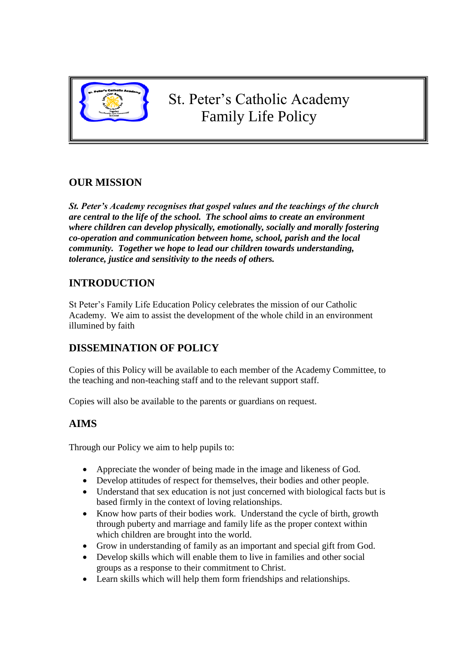

# **OUR MISSION**

*St. Peter's Academy recognises that gospel values and the teachings of the church are central to the life of the school. The school aims to create an environment where children can develop physically, emotionally, socially and morally fostering co-operation and communication between home, school, parish and the local community. Together we hope to lead our children towards understanding, tolerance, justice and sensitivity to the needs of others.*

# **INTRODUCTION**

St Peter's Family Life Education Policy celebrates the mission of our Catholic Academy. We aim to assist the development of the whole child in an environment illumined by faith

# **DISSEMINATION OF POLICY**

Copies of this Policy will be available to each member of the Academy Committee, to the teaching and non-teaching staff and to the relevant support staff.

Copies will also be available to the parents or guardians on request.

# **AIMS**

Through our Policy we aim to help pupils to:

- Appreciate the wonder of being made in the image and likeness of God.
- Develop attitudes of respect for themselves, their bodies and other people.
- Understand that sex education is not just concerned with biological facts but is based firmly in the context of loving relationships.
- Know how parts of their bodies work. Understand the cycle of birth, growth through puberty and marriage and family life as the proper context within which children are brought into the world.
- Grow in understanding of family as an important and special gift from God.
- Develop skills which will enable them to live in families and other social groups as a response to their commitment to Christ.
- Learn skills which will help them form friendships and relationships.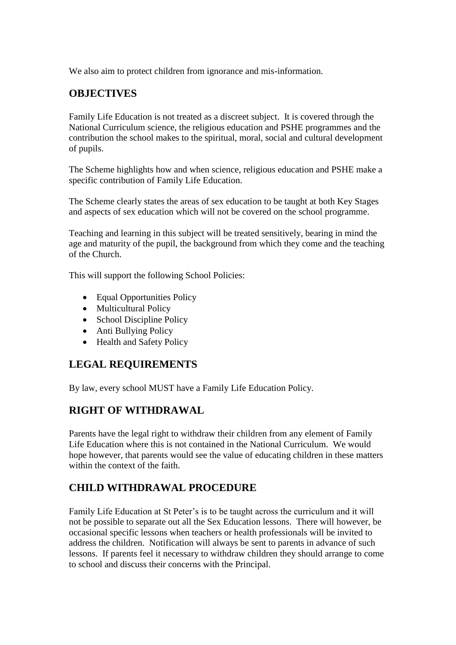We also aim to protect children from ignorance and mis-information.

### **OBJECTIVES**

Family Life Education is not treated as a discreet subject. It is covered through the National Curriculum science, the religious education and PSHE programmes and the contribution the school makes to the spiritual, moral, social and cultural development of pupils.

The Scheme highlights how and when science, religious education and PSHE make a specific contribution of Family Life Education.

The Scheme clearly states the areas of sex education to be taught at both Key Stages and aspects of sex education which will not be covered on the school programme.

Teaching and learning in this subject will be treated sensitively, bearing in mind the age and maturity of the pupil, the background from which they come and the teaching of the Church.

This will support the following School Policies:

- Equal Opportunities Policy
- Multicultural Policy
- School Discipline Policy
- Anti Bullying Policy
- Health and Safety Policy

### **LEGAL REQUIREMENTS**

By law, every school MUST have a Family Life Education Policy.

### **RIGHT OF WITHDRAWAL**

Parents have the legal right to withdraw their children from any element of Family Life Education where this is not contained in the National Curriculum. We would hope however, that parents would see the value of educating children in these matters within the context of the faith.

# **CHILD WITHDRAWAL PROCEDURE**

Family Life Education at St Peter's is to be taught across the curriculum and it will not be possible to separate out all the Sex Education lessons. There will however, be occasional specific lessons when teachers or health professionals will be invited to address the children. Notification will always be sent to parents in advance of such lessons. If parents feel it necessary to withdraw children they should arrange to come to school and discuss their concerns with the Principal.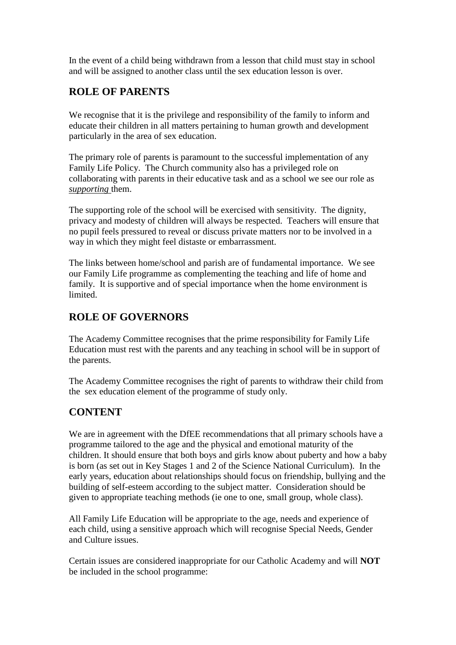In the event of a child being withdrawn from a lesson that child must stay in school and will be assigned to another class until the sex education lesson is over.

# **ROLE OF PARENTS**

We recognise that it is the privilege and responsibility of the family to inform and educate their children in all matters pertaining to human growth and development particularly in the area of sex education.

The primary role of parents is paramount to the successful implementation of any Family Life Policy. The Church community also has a privileged role on collaborating with parents in their educative task and as a school we see our role as *supporting* them.

The supporting role of the school will be exercised with sensitivity. The dignity, privacy and modesty of children will always be respected. Teachers will ensure that no pupil feels pressured to reveal or discuss private matters nor to be involved in a way in which they might feel distaste or embarrassment.

The links between home/school and parish are of fundamental importance. We see our Family Life programme as complementing the teaching and life of home and family. It is supportive and of special importance when the home environment is limited.

### **ROLE OF GOVERNORS**

The Academy Committee recognises that the prime responsibility for Family Life Education must rest with the parents and any teaching in school will be in support of the parents.

The Academy Committee recognises the right of parents to withdraw their child from the sex education element of the programme of study only.

# **CONTENT**

We are in agreement with the DfEE recommendations that all primary schools have a programme tailored to the age and the physical and emotional maturity of the children. It should ensure that both boys and girls know about puberty and how a baby is born (as set out in Key Stages 1 and 2 of the Science National Curriculum). In the early years, education about relationships should focus on friendship, bullying and the building of self-esteem according to the subject matter. Consideration should be given to appropriate teaching methods (ie one to one, small group, whole class).

All Family Life Education will be appropriate to the age, needs and experience of each child, using a sensitive approach which will recognise Special Needs, Gender and Culture issues.

Certain issues are considered inappropriate for our Catholic Academy and will **NOT** be included in the school programme: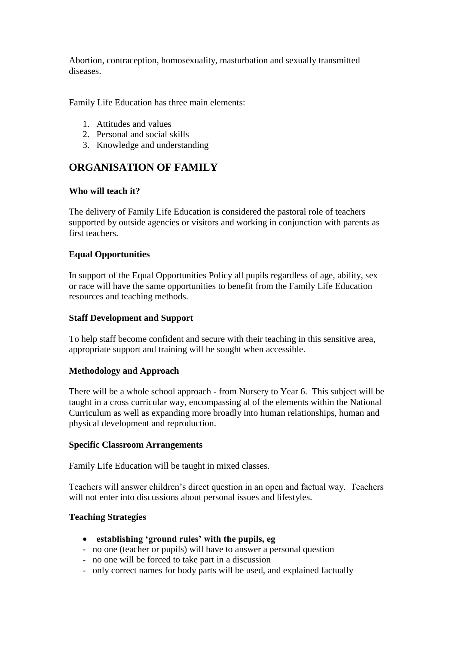Abortion, contraception, homosexuality, masturbation and sexually transmitted diseases.

Family Life Education has three main elements:

- 1. Attitudes and values
- 2. Personal and social skills
- 3. Knowledge and understanding

### **ORGANISATION OF FAMILY**

#### **Who will teach it?**

The delivery of Family Life Education is considered the pastoral role of teachers supported by outside agencies or visitors and working in conjunction with parents as first teachers.

#### **Equal Opportunities**

In support of the Equal Opportunities Policy all pupils regardless of age, ability, sex or race will have the same opportunities to benefit from the Family Life Education resources and teaching methods.

#### **Staff Development and Support**

To help staff become confident and secure with their teaching in this sensitive area, appropriate support and training will be sought when accessible.

#### **Methodology and Approach**

There will be a whole school approach - from Nursery to Year 6. This subject will be taught in a cross curricular way, encompassing al of the elements within the National Curriculum as well as expanding more broadly into human relationships, human and physical development and reproduction.

#### **Specific Classroom Arrangements**

Family Life Education will be taught in mixed classes.

Teachers will answer children's direct question in an open and factual way. Teachers will not enter into discussions about personal issues and lifestyles.

#### **Teaching Strategies**

- **establishing 'ground rules' with the pupils, eg**
- no one (teacher or pupils) will have to answer a personal question
- no one will be forced to take part in a discussion
- only correct names for body parts will be used, and explained factually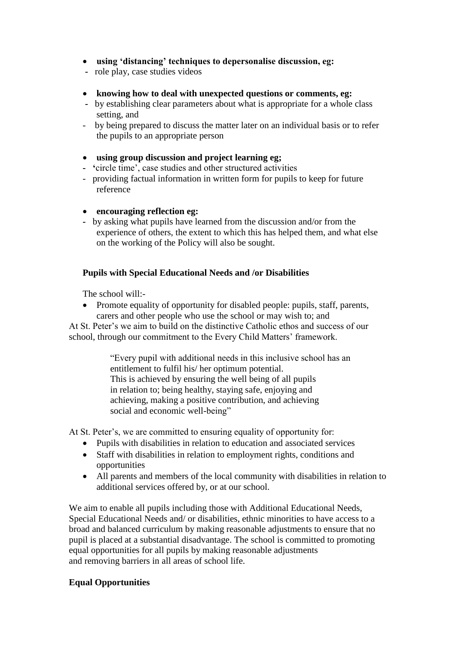- **using 'distancing' techniques to depersonalise discussion, eg:**
- role play, case studies videos
- **knowing how to deal with unexpected questions or comments, eg:**
- by establishing clear parameters about what is appropriate for a whole class setting, and
- by being prepared to discuss the matter later on an individual basis or to refer the pupils to an appropriate person
- **using group discussion and project learning eg;**
- **'**circle time', case studies and other structured activities
- providing factual information in written form for pupils to keep for future reference
- **encouraging reflection eg:**
- by asking what pupils have learned from the discussion and/or from the experience of others, the extent to which this has helped them, and what else on the working of the Policy will also be sought.

### **Pupils with Special Educational Needs and /or Disabilities**

The school will:-

• Promote equality of opportunity for disabled people: pupils, staff, parents, carers and other people who use the school or may wish to; and

At St. Peter's we aim to build on the distinctive Catholic ethos and success of our school, through our commitment to the Every Child Matters' framework.

> "Every pupil with additional needs in this inclusive school has an entitlement to fulfil his/ her optimum potential. This is achieved by ensuring the well being of all pupils in relation to; being healthy, staying safe, enjoying and achieving, making a positive contribution, and achieving social and economic well-being"

At St. Peter's, we are committed to ensuring equality of opportunity for:

- Pupils with disabilities in relation to education and associated services
- Staff with disabilities in relation to employment rights, conditions and opportunities
- All parents and members of the local community with disabilities in relation to additional services offered by, or at our school.

We aim to enable all pupils including those with Additional Educational Needs, Special Educational Needs and/ or disabilities, ethnic minorities to have access to a broad and balanced curriculum by making reasonable adjustments to ensure that no pupil is placed at a substantial disadvantage. The school is committed to promoting equal opportunities for all pupils by making reasonable adjustments and removing barriers in all areas of school life.

### **Equal Opportunities**